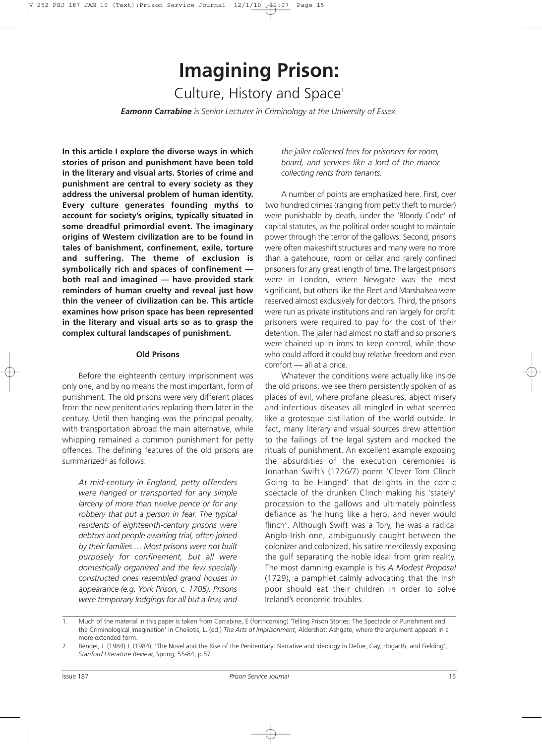# **Imagining Prison:** Culture, History and Space<sup>1</sup>

*Eamonn Carrabine is Senior Lecturer in Criminology at the University of Essex.*

**In this article I explore the diverse ways in which stories of prison and punishment have been told in the literary and visual arts. Stories of crime and punishment are central to every society as they address the universal problem of human identity. Every culture generates founding myths to account for society's origins, typically situated in some dreadful primordial event. The imaginary origins of Western civilization are to be found in tales of banishment, confinement, exile, torture and suffering. The theme of exclusion is symbolically rich and spaces of confinement both real and imagined — have provided stark reminders of human cruelty and reveal just how thin the veneer of civilization can be. This article examines how prison space has been represented in the literary and visual arts so as to grasp the complex cultural landscapes of punishment.**

#### **Old Prisons**

Before the eighteenth century imprisonment was only one, and by no means the most important, form of punishment. The old prisons were very different places from the new penitentiaries replacing them later in the century. Until then hanging was the principal penalty, with transportation abroad the main alternative, while whipping remained a common punishment for petty offences. The defining features of the old prisons are summarized<sup>2</sup> as follows:

*At mid-century in England, petty offenders were hanged or transported for any simple larceny of more than twelve pence or for any robbery that put a person in fear. The typical residents of eighteenth-century prisons were debtors and people awaiting trial, often joined by their families … Most prisons were not built purposely for confinement, but all were domestically organized and the few specially constructed ones resembled grand houses in appearance (e.g. York Prison, c. 1705). Prisons were temporary lodgings for all but a few, and*

*the jailer collected fees for prisoners for room, board, and services like a lord of the manor collecting rents from tenants.*

A number of points are emphasized here. First, over two hundred crimes (ranging from petty theft to murder) were punishable by death, under the 'Bloody Code' of capital statutes, as the political order sought to maintain power through the terror of the gallows. Second, prisons were often makeshift structures and many were no more than a gatehouse, room or cellar and rarely confined prisoners for any great length of time. The largest prisons were in London, where Newgate was the most significant, but others like the Fleet and Marshalsea were reserved almost exclusively for debtors. Third, the prisons were run as private institutions and ran largely for profit: prisoners were required to pay for the cost of their detention. The jailer had almost no staff and so prisoners were chained up in irons to keep control, while those who could afford it could buy relative freedom and even comfort — all at a price.

Whatever the conditions were actually like inside the old prisons, we see them persistently spoken of as places of evil, where profane pleasures, abject misery and infectious diseases all mingled in what seemed like a grotesque distillation of the world outside. In fact, many literary and visual sources drew attention to the failings of the legal system and mocked the rituals of punishment. An excellent example exposing the absurdities of the execution ceremonies is Jonathan Swift's (1726/7) poem 'Clever Tom Clinch Going to be Hanged' that delights in the comic spectacle of the drunken Clinch making his 'stately' procession to the gallows and ultimately pointless defiance as 'he hung like a hero, and never would flinch'. Although Swift was a Tory, he was a radical Anglo-Irish one, ambiguously caught between the colonizer and colonized, his satire mercilessly exposing the gulf separating the noble ideal from grim reality. The most damning example is his *A Modest Proposal* (1729), a pamphlet calmly advocating that the Irish poor should eat their children in order to solve Ireland's economic troubles.

1. Much of the material in this paper is taken from Carrabine, E (forthcoming) 'Telling Prison Stories: The Spectacle of Punishment and the Criminological Imagination' in Cheliotis, L. (ed.) *The Arts of Imprisonment*, Aldershot: Ashgate, where the argument appears in a more extended form.

<sup>2.</sup> Bender, J. (1984) J. (1984), 'The Novel and the Rise of the Penitentiary: Narrative and Ideology in Defoe, Gay, Hogarth, and Fielding', *Stanford Literature Review*, Spring, 55-84, p.57.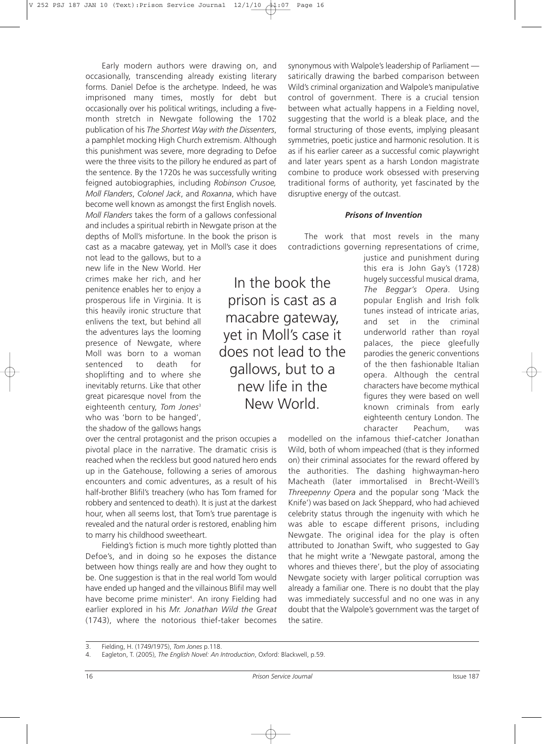Early modern authors were drawing on, and occasionally, transcending already existing literary forms. Daniel Defoe is the archetype. Indeed, he was imprisoned many times, mostly for debt but occasionally over his political writings, including a fivemonth stretch in Newgate following the 1702 publication of his *The Shortest Way with the Dissenters*, a pamphlet mocking High Church extremism. Although this punishment was severe, more degrading to Defoe were the three visits to the pillory he endured as part of the sentence. By the 1720s he was successfully writing feigned autobiographies, including *Robinson Crusoe, Moll Flanders*, *Colonel Jack*, and *Roxanna*, which have become well known as amongst the first English novels. *Moll Flanders* takes the form of a gallows confessional and includes a spiritual rebirth in Newgate prison at the depths of Moll's misfortune. In the book the prison is cast as a macabre gateway, yet in Moll's case it does

not lead to the gallows, but to a new life in the New World. Her crimes make her rich, and her penitence enables her to enjoy a prosperous life in Virginia. It is this heavily ironic structure that enlivens the text, but behind all the adventures lays the looming presence of Newgate, where Moll was born to a woman sentenced to death for shoplifting and to where she inevitably returns. Like that other great picaresque novel from the eighteenth century, *Tom Jones*<sup>3</sup> who was 'born to be hanged', the shadow of the gallows hangs

over the central protagonist and the prison occupies a pivotal place in the narrative. The dramatic crisis is reached when the reckless but good natured hero ends up in the Gatehouse, following a series of amorous encounters and comic adventures, as a result of his half-brother Blifil's treachery (who has Tom framed for robbery and sentenced to death). It is just at the darkest hour, when all seems lost, that Tom's true parentage is revealed and the natural order is restored, enabling him to marry his childhood sweetheart.

Fielding's fiction is much more tightly plotted than Defoe's, and in doing so he exposes the distance between how things really are and how they ought to be. One suggestion is that in the real world Tom would have ended up hanged and the villainous Blifil may well have become prime minister4 . An irony Fielding had earlier explored in his *Mr. Jonathan Wild the Great* (1743), where the notorious thief-taker becomes synonymous with Walpole's leadership of Parliament satirically drawing the barbed comparison between Wild's criminal organization and Walpole's manipulative control of government. There is a crucial tension between what actually happens in a Fielding novel, suggesting that the world is a bleak place, and the formal structuring of those events, implying pleasant symmetries, poetic justice and harmonic resolution. It is as if his earlier career as a successful comic playwright and later years spent as a harsh London magistrate combine to produce work obsessed with preserving traditional forms of authority, yet fascinated by the disruptive energy of the outcast.

#### *Prisons of Invention*

The work that most revels in the many contradictions governing representations of crime,

In the book the prison is cast as a macabre gateway, yet in Moll's case it does not lead to the gallows, but to a new life in the New World.

justice and punishment during this era is John Gay's (1728) hugely successful musical drama, *The Beggar's Opera*. Using popular English and Irish folk tunes instead of intricate arias, and set in the criminal underworld rather than royal palaces, the piece gleefully parodies the generic conventions of the then fashionable Italian opera. Although the central characters have become mythical figures they were based on well known criminals from early eighteenth century London. The character Peachum, was

modelled on the infamous thief-catcher Jonathan Wild, both of whom impeached (that is they informed on) their criminal associates for the reward offered by the authorities. The dashing highwayman-hero Macheath (later immortalised in Brecht-Weill's *Threepenny Opera* and the popular song 'Mack the Knife') was based on Jack Sheppard, who had achieved celebrity status through the ingenuity with which he was able to escape different prisons, including Newgate. The original idea for the play is often attributed to Jonathan Swift, who suggested to Gay that he might write a 'Newgate pastoral, among the whores and thieves there', but the ploy of associating Newgate society with larger political corruption was already a familiar one. There is no doubt that the play was immediately successful and no one was in any doubt that the Walpole's government was the target of the satire.

<sup>3.</sup> Fielding, H. (1749/1975), *Tom Jones* p.118.

<sup>4.</sup> Eagleton, T. (2005), *The English Novel: An Introduction*, Oxford: Blackwell, p.59.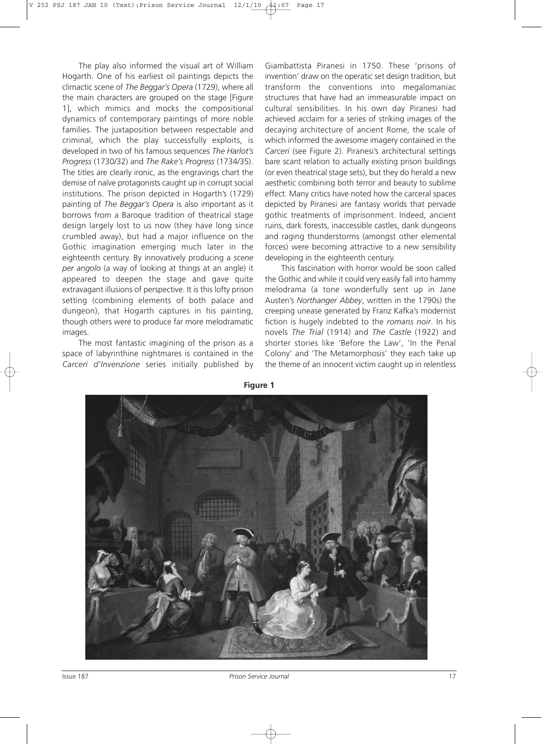The play also informed the visual art of William Hogarth. One of his earliest oil paintings depicts the climactic scene of *The Beggar's Opera* (1729), where all the main characters are grouped on the stage [Figure 1], which mimics and mocks the compositional dynamics of contemporary paintings of more noble families. The juxtaposition between respectable and criminal, which the play successfully exploits, is developed in two of his famous sequences *The Harlot's Progress* (1730/32) and *The Rake's Progress* (1734/35). The titles are clearly ironic, as the engravings chart the demise of naïve protagonists caught up in corrupt social institutions. The prison depicted in Hogarth's (1729) painting of *The Beggar's Opera* is also important as it borrows from a Baroque tradition of theatrical stage design largely lost to us now (they have long since crumbled away), but had a major influence on the Gothic imagination emerging much later in the eighteenth century. By innovatively producing a *scene per angolo* (a way of looking at things at an angle) it appeared to deepen the stage and gave quite extravagant illusions of perspective. It is this lofty prison setting (combining elements of both palace and dungeon), that Hogarth captures in his painting, though others were to produce far more melodramatic images.

The most fantastic imagining of the prison as a space of labyrinthine nightmares is contained in the *Carceri d'Invenzione* series initially published by Giambattista Piranesi in 1750. These 'prisons of invention' draw on the operatic set design tradition, but transform the conventions into megalomaniac structures that have had an immeasurable impact on cultural sensibilities. In his own day Piranesi had achieved acclaim for a series of striking images of the decaying architecture of ancient Rome, the scale of which informed the awesome imagery contained in the *Carceri* (see Figure 2). Piranesi's architectural settings bare scant relation to actually existing prison buildings (or even theatrical stage sets), but they do herald a new aesthetic combining both terror and beauty to sublime effect. Many critics have noted how the carceral spaces depicted by Piranesi are fantasy worlds that pervade gothic treatments of imprisonment. Indeed, ancient ruins, dark forests, inaccessible castles, dank dungeons and raging thunderstorms (amongst other elemental forces) were becoming attractive to a new sensibility developing in the eighteenth century.

This fascination with horror would be soon called the Gothic and while it could very easily fall into hammy melodrama (a tone wonderfully sent up in Jane Austen's *Northanger Abbey*, written in the 1790s) the creeping unease generated by Franz Kafka's modernist fiction is hugely indebted to the *romans noir*. In his novels *The Trial* (1914) and *The Castle* (1922) and shorter stories like 'Before the Law', 'In the Penal Colony' and 'The Metamorphosis' they each take up the theme of an innocent victim caught up in relentless



**Figure 1**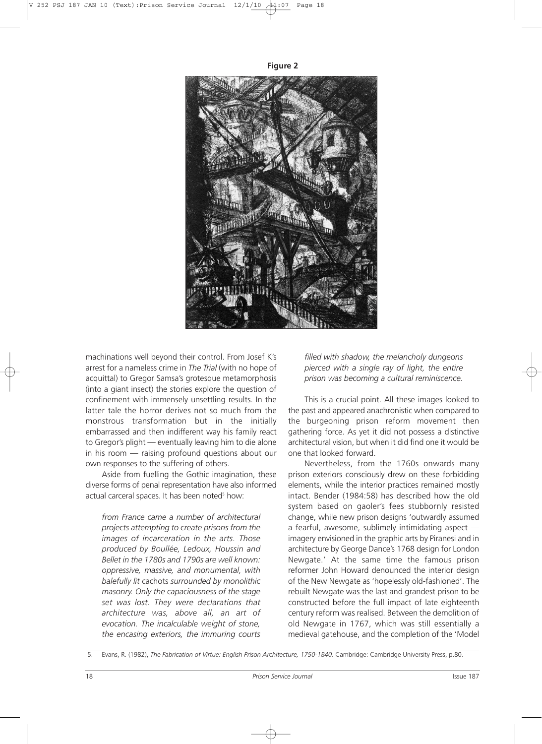**Figure 2**



machinations well beyond their control. From Josef K's arrest for a nameless crime in *The Trial* (with no hope of acquittal) to Gregor Samsa's grotesque metamorphosis (into a giant insect) the stories explore the question of confinement with immensely unsettling results. In the latter tale the horror derives not so much from the monstrous transformation but in the initially embarrassed and then indifferent way his family react to Gregor's plight — eventually leaving him to die alone in his room — raising profound questions about our own responses to the suffering of others.

Aside from fuelling the Gothic imagination, these diverse forms of penal representation have also informed actual carceral spaces. It has been noted<sup>5</sup> how:

*from France came a number of architectural projects attempting to create prisons from the images of incarceration in the arts. Those produced by Boullée, Ledoux, Houssin and Bellet in the 1780s and 1790s are well known: oppressive, massive, and monumental, with balefully lit* cachots *surrounded by monolithic masonry. Only the capaciousness of the stage set was lost. They were declarations that architecture was, above all, an art of evocation. The incalculable weight of stone, the encasing exteriors, the immuring courts*

*filled with shadow, the melancholy dungeons pierced with a single ray of light, the entire prison was becoming a cultural reminiscence.*

This is a crucial point. All these images looked to the past and appeared anachronistic when compared to the burgeoning prison reform movement then gathering force. As yet it did not possess a distinctive architectural vision, but when it did find one it would be one that looked forward.

Nevertheless, from the 1760s onwards many prison exteriors consciously drew on these forbidding elements, while the interior practices remained mostly intact. Bender (1984:58) has described how the old system based on gaoler's fees stubbornly resisted change, while new prison designs 'outwardly assumed a fearful, awesome, sublimely intimidating aspect imagery envisioned in the graphic arts by Piranesi and in architecture by George Dance's 1768 design for London Newgate.' At the same time the famous prison reformer John Howard denounced the interior design of the New Newgate as 'hopelessly old-fashioned'. The rebuilt Newgate was the last and grandest prison to be constructed before the full impact of late eighteenth century reform was realised. Between the demolition of old Newgate in 1767, which was still essentially a medieval gatehouse, and the completion of the 'Model

<sup>5.</sup> Evans, R. (1982), *The Fabrication of Virtue: English Prison Architecture, 1750-1840*. Cambridge: Cambridge University Press, p.80.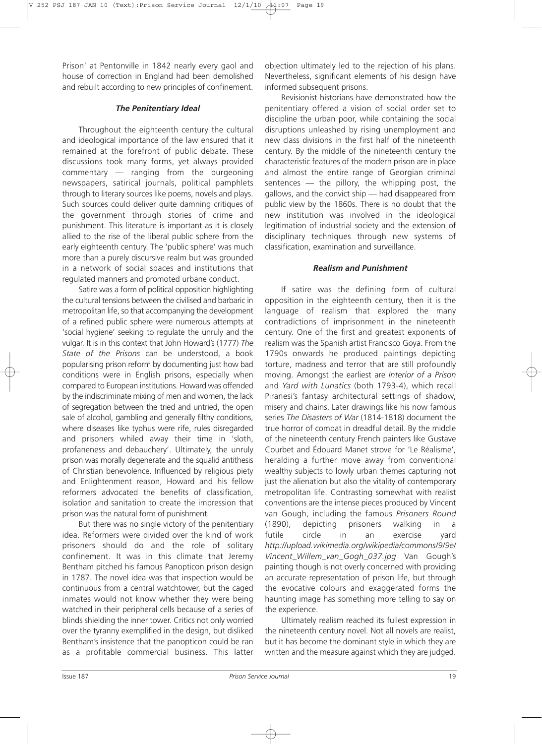Prison' at Pentonville in 1842 nearly every gaol and house of correction in England had been demolished and rebuilt according to new principles of confinement.

# *The Penitentiary Ideal*

Throughout the eighteenth century the cultural and ideological importance of the law ensured that it remained at the forefront of public debate. These discussions took many forms, yet always provided commentary — ranging from the burgeoning newspapers, satirical journals, political pamphlets through to literary sources like poems, novels and plays. Such sources could deliver quite damning critiques of the government through stories of crime and punishment. This literature is important as it is closely allied to the rise of the liberal public sphere from the early eighteenth century. The 'public sphere' was much more than a purely discursive realm but was grounded in a network of social spaces and institutions that regulated manners and promoted urbane conduct.

Satire was a form of political opposition highlighting the cultural tensions between the civilised and barbaric in metropolitan life, so that accompanying the development of a refined public sphere were numerous attempts at 'social hygiene' seeking to regulate the unruly and the vulgar. It is in this context that John Howard's (1777) *The State of the Prisons* can be understood, a book popularising prison reform by documenting just how bad conditions were in English prisons, especially when compared to European institutions. Howard was offended by the indiscriminate mixing of men and women, the lack of segregation between the tried and untried, the open sale of alcohol, gambling and generally filthy conditions, where diseases like typhus were rife, rules disregarded and prisoners whiled away their time in 'sloth, profaneness and debauchery'. Ultimately, the unruly prison was morally degenerate and the squalid antithesis of Christian benevolence. Influenced by religious piety and Enlightenment reason, Howard and his fellow reformers advocated the benefits of classification, isolation and sanitation to create the impression that prison was the natural form of punishment.

But there was no single victory of the penitentiary idea. Reformers were divided over the kind of work prisoners should do and the role of solitary confinement. It was in this climate that Jeremy Bentham pitched his famous Panopticon prison design in 1787. The novel idea was that inspection would be continuous from a central watchtower, but the caged inmates would not know whether they were being watched in their peripheral cells because of a series of blinds shielding the inner tower. Critics not only worried over the tyranny exemplified in the design, but disliked Bentham's insistence that the panopticon could be ran as a profitable commercial business. This latter

objection ultimately led to the rejection of his plans. Nevertheless, significant elements of his design have informed subsequent prisons.

Revisionist historians have demonstrated how the penitentiary offered a vision of social order set to discipline the urban poor, while containing the social disruptions unleashed by rising unemployment and new class divisions in the first half of the nineteenth century. By the middle of the nineteenth century the characteristic features of the modern prison are in place and almost the entire range of Georgian criminal sentences — the pillory, the whipping post, the gallows, and the convict ship — had disappeared from public view by the 1860s. There is no doubt that the new institution was involved in the ideological legitimation of industrial society and the extension of disciplinary techniques through new systems of classification, examination and surveillance.

# *Realism and Punishment*

If satire was the defining form of cultural opposition in the eighteenth century, then it is the language of realism that explored the many contradictions of imprisonment in the nineteenth century. One of the first and greatest exponents of realism was the Spanish artist Francisco Goya. From the 1790s onwards he produced paintings depicting torture, madness and terror that are still profoundly moving. Amongst the earliest are *Interior of a Prison* and *Yard with Lunatics* (both 1793-4), which recall Piranesi's fantasy architectural settings of shadow, misery and chains. Later drawings like his now famous series *The Disasters of War* (1814-1818) document the true horror of combat in dreadful detail. By the middle of the nineteenth century French painters like Gustave Courbet and Édouard Manet strove for 'Le Réalisme', heralding a further move away from conventional wealthy subjects to lowly urban themes capturing not just the alienation but also the vitality of contemporary metropolitan life. Contrasting somewhat with realist conventions are the intense pieces produced by Vincent van Gough, including the famous *Prisoners Round* (1890), depicting prisoners walking in a futile circle in an exercise yard *http://upload.wikimedia.org/wikipedia/commons/9/9e/ Vincent\_Willem\_van\_Gogh\_037.jpg* Van Gough's painting though is not overly concerned with providing an accurate representation of prison life, but through the evocative colours and exaggerated forms the haunting image has something more telling to say on the experience.

Ultimately realism reached its fullest expression in the nineteenth century novel. Not all novels are realist, but it has become the dominant style in which they are written and the measure against which they are judged.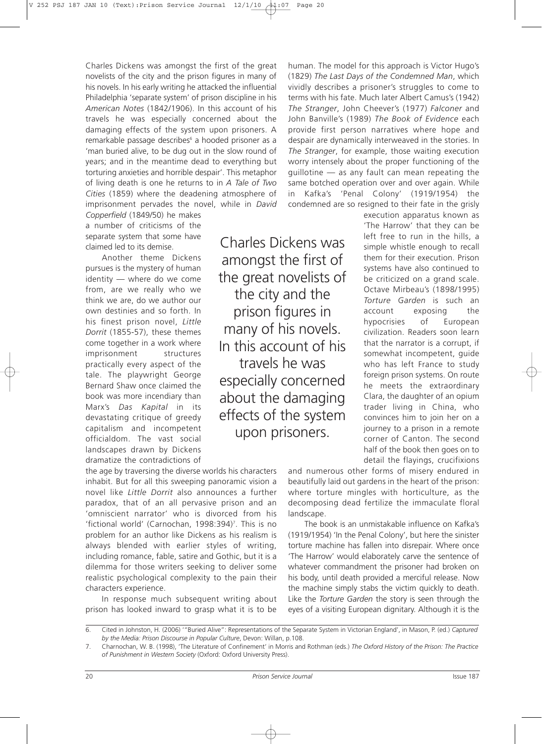Charles Dickens was amongst the first of the great novelists of the city and the prison figures in many of his novels. In his early writing he attacked the influential Philadelphia 'separate system' of prison discipline in his *American Notes* (1842/1906). In this account of his travels he was especially concerned about the damaging effects of the system upon prisoners. A remarkable passage describes<sup>6</sup> a hooded prisoner as a 'man buried alive, to be dug out in the slow round of years; and in the meantime dead to everything but torturing anxieties and horrible despair'. This metaphor of living death is one he returns to in *A Tale of Two Cities* (1859) where the deadening atmosphere of imprisonment pervades the novel, while in *David*

*Copperfield* (1849/50) he makes a number of criticisms of the separate system that some have claimed led to its demise.

Another theme Dickens pursues is the mystery of human identity — where do we come from, are we really who we think we are, do we author our own destinies and so forth. In his finest prison novel, *Little Dorrit* (1855-57), these themes come together in a work where imprisonment structures practically every aspect of the tale. The playwright George Bernard Shaw once claimed the book was more incendiary than Marx's *Das Kapital* in its devastating critique of greedy capitalism and incompetent officialdom. The vast social landscapes drawn by Dickens dramatize the contradictions of

the age by traversing the diverse worlds his characters inhabit. But for all this sweeping panoramic vision a novel like *Little Dorrit* also announces a further paradox, that of an all pervasive prison and an 'omniscient narrator' who is divorced from his 'fictional world' (Carnochan, 1998:394)7 . This is no problem for an author like Dickens as his realism is always blended with earlier styles of writing, including romance, fable, satire and Gothic, but it is a dilemma for those writers seeking to deliver some realistic psychological complexity to the pain their characters experience.

In response much subsequent writing about prison has looked inward to grasp what it is to be

Charles Dickens was amongst the first of the great novelists of the city and the prison figures in many of his novels. In this account of his travels he was especially concerned about the damaging effects of the system upon prisoners.

human. The model for this approach is Victor Hugo's (1829) *The Last Days of the Condemned Man*, which vividly describes a prisoner's struggles to come to terms with his fate. Much later Albert Camus's (1942) *The Stranger*, John Cheever's (1977) *Falconer* and John Banville's (1989) *The Book of Evidence* each provide first person narratives where hope and despair are dynamically interweaved in the stories. In *The Stranger*, for example, those waiting execution worry intensely about the proper functioning of the guillotine — as any fault can mean repeating the same botched operation over and over again. While in Kafka's 'Penal Colony' (1919/1954) the condemned are so resigned to their fate in the grisly

> execution apparatus known as 'The Harrow' that they can be left free to run in the hills, a simple whistle enough to recall them for their execution. Prison systems have also continued to be criticized on a grand scale. Octave Mirbeau's (1898/1995) *Torture Garden* is such an account exposing the hypocrisies of European civilization. Readers soon learn that the narrator is a corrupt, if somewhat incompetent, guide who has left France to study foreign prison systems. On route he meets the extraordinary Clara, the daughter of an opium trader living in China, who convinces him to join her on a journey to a prison in a remote corner of Canton. The second half of the book then goes on to detail the flayings, crucifixions

and numerous other forms of misery endured in beautifully laid out gardens in the heart of the prison: where torture mingles with horticulture, as the decomposing dead fertilize the immaculate floral landscape.

The book is an unmistakable influence on Kafka's (1919/1954) 'In the Penal Colony', but here the sinister torture machine has fallen into disrepair. Where once 'The Harrow' would elaborately carve the sentence of whatever commandment the prisoner had broken on his body, until death provided a merciful release. Now the machine simply stabs the victim quickly to death. Like the *Torture Garden* the story is seen through the eyes of a visiting European dignitary. Although it is the

<sup>6.</sup> Cited in Johnston, H. (2006) '"Buried Alive": Representations of the Separate System in Victorian England', in Mason, P. (ed.) *Captured by the Media: Prison Discourse in Popular Culture*, Devon: Willan, p.108.

<sup>7.</sup> Charnochan, W. B. (1998), 'The Literature of Confinement' in Morris and Rothman (eds.) *The Oxford History of the Prison: The Practice of Punishment in Western Society* (Oxford: Oxford University Press).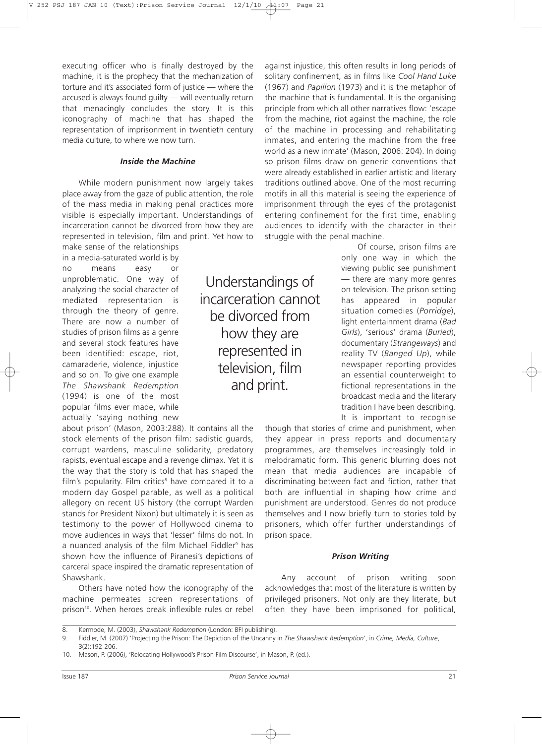executing officer who is finally destroyed by the machine, it is the prophecy that the mechanization of torture and it's associated form of justice — where the accused is always found guilty — will eventually return that menacingly concludes the story. It is this iconography of machine that has shaped the representation of imprisonment in twentieth century media culture, to where we now turn.

#### *Inside the Machine*

While modern punishment now largely takes place away from the gaze of public attention, the role of the mass media in making penal practices more visible is especially important. Understandings of incarceration cannot be divorced from how they are represented in television, film and print. Yet how to

make sense of the relationships in a media-saturated world is by no means easy or unproblematic. One way of analyzing the social character of mediated representation is through the theory of genre. There are now a number of studies of prison films as a genre and several stock features have been identified: escape, riot, camaraderie, violence, injustice and so on. To give one example *The Shawshank Redemption* (1994) is one of the most popular films ever made, while actually 'saying nothing new

about prison' (Mason, 2003:288). It contains all the stock elements of the prison film: sadistic guards, corrupt wardens, masculine solidarity, predatory rapists, eventual escape and a revenge climax. Yet it is the way that the story is told that has shaped the film's popularity. Film critics<sup>8</sup> have compared it to a modern day Gospel parable, as well as a political allegory on recent US history (the corrupt Warden stands for President Nixon) but ultimately it is seen as testimony to the power of Hollywood cinema to move audiences in ways that 'lesser' films do not. In a nuanced analysis of the film Michael Fiddler<sup>9</sup> has shown how the influence of Piranesi's depictions of carceral space inspired the dramatic representation of Shawshank.

Others have noted how the iconography of the machine permeates screen representations of prison<sup>10</sup>. When heroes break inflexible rules or rebel

Understandings of incarceration cannot be divorced from how they are represented in television, film and print.

against injustice, this often results in long periods of solitary confinement, as in films like *Cool Hand Luke* (1967) and *Papillon* (1973) and it is the metaphor of the machine that is fundamental. It is the organising principle from which all other narratives flow: 'escape from the machine, riot against the machine, the role of the machine in processing and rehabilitating inmates, and entering the machine from the free world as a new inmate' (Mason, 2006: 204). In doing so prison films draw on generic conventions that were already established in earlier artistic and literary traditions outlined above. One of the most recurring motifs in all this material is seeing the experience of imprisonment through the eyes of the protagonist entering confinement for the first time, enabling audiences to identify with the character in their struggle with the penal machine.

> Of course, prison films are only one way in which the viewing public see punishment — there are many more genres on television. The prison setting has appeared in popular situation comedies (*Porridge*), light entertainment drama (*Bad Girls*), 'serious' drama (*Buried*), documentary (*Strangeways*) and reality TV (*Banged Up*), while newspaper reporting provides an essential counterweight to fictional representations in the broadcast media and the literary tradition I have been describing. It is important to recognise

though that stories of crime and punishment, when they appear in press reports and documentary programmes, are themselves increasingly told in melodramatic form. This generic blurring does not mean that media audiences are incapable of discriminating between fact and fiction, rather that both are influential in shaping how crime and punishment are understood. Genres do not produce themselves and I now briefly turn to stories told by prisoners, which offer further understandings of prison space.

# *Prison Writing*

Any account of prison writing soon acknowledges that most of the literature is written by privileged prisoners. Not only are they literate, but often they have been imprisoned for political,

<sup>8.</sup> Kermode, M. (2003), *Shawshank Redemption* (London: BFI publishing).

<sup>9.</sup> Fiddler, M. (2007) 'Projecting the Prison: The Depiction of the Uncanny in *The Shawshank Redemption*', in *Crime, Media, Culture*, 3(2):192-206.

<sup>10.</sup> Mason, P. (2006), 'Relocating Hollywood's Prison Film Discourse', in Mason, P. (ed.).